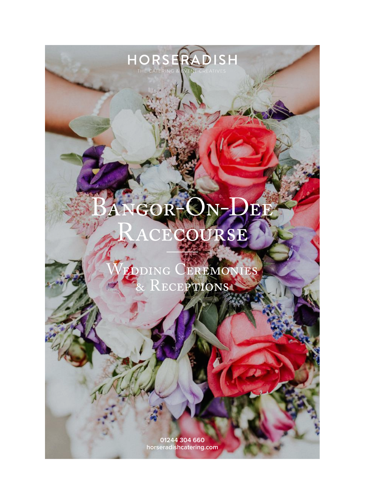## GOR-ON-DEE ACECOURSE

**HORSE** THE CATER

WEDDING CEREMONIES  $\&$  Receptions

RADISH

**01244 304 660 horseradishcatering.com**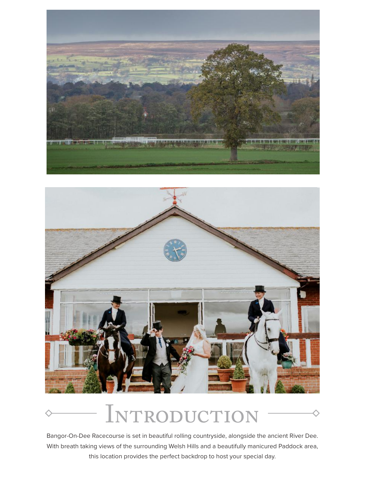



# INTRODUCTION

Bangor-On-Dee Racecourse is set in beautiful rolling countryside, alongside the ancient River Dee. With breath taking views of the surrounding Welsh Hills and a beautifully manicured Paddock area, this location provides the perfect backdrop to host your special day.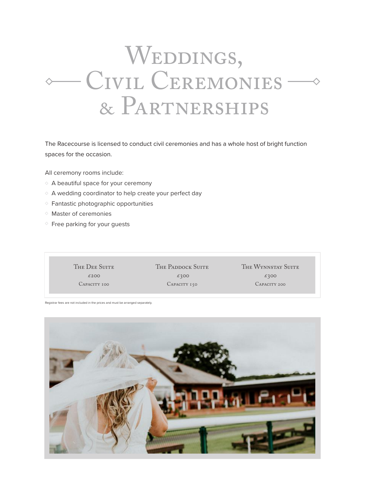## WEDDINGS, CIVIL CEREMONIES-& Partnerships

The Racecourse is licensed to conduct civil ceremonies and has a whole host of bright function spaces for the occasion.

All ceremony rooms include:

- $\Diamond$  A beautiful space for your ceremony
- $\diamond$  A wedding coordinator to help create your perfect day
- $\Diamond$  Fantastic photographic opportunities
- Master of ceremonies
- $\Diamond$  Free parking for your guests

| THE DEE SUITE | THE PADDOCK SUITE | THE WYNNSTAY SUITE |
|---------------|-------------------|--------------------|
| £200          | £300              | £300               |
| Capacity 100  | CAPACITY 150      | CAPACITY 200       |

Registrar fees are not included in the prices and must be arranged separately.